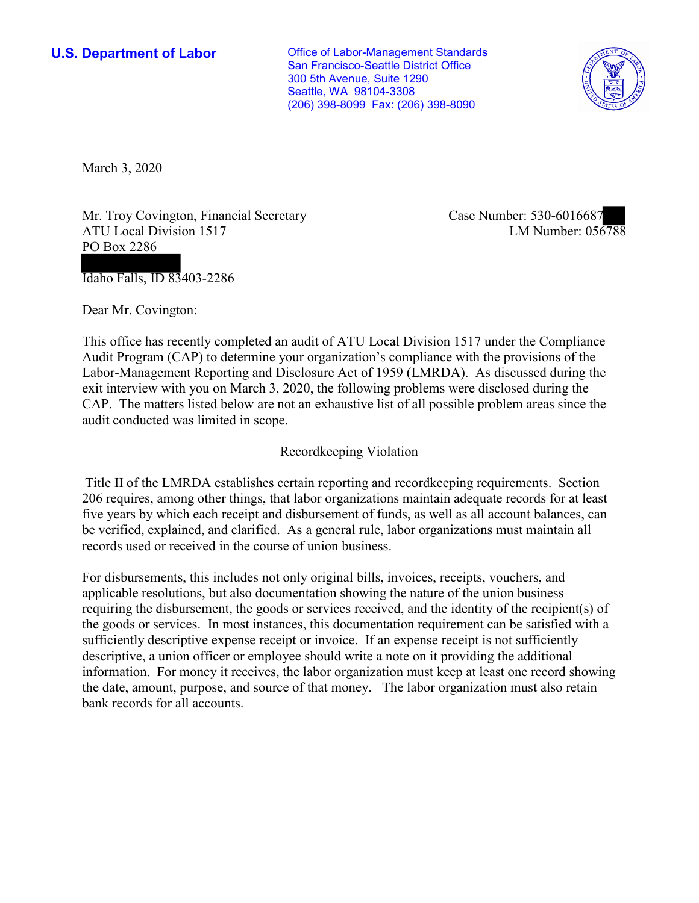**U.S. Department of Labor Conservative Conservative Conservative Conservative U.S.** Department of Labor San Francisco-Seattle District Office 300 5th Avenue, Suite 1290 Seattle, WA 98104-3308 (206) 398-8099 Fax: (206) 398-8090



March 3, 2020

Mr. Troy Covington, Financial Secretary ATU Local Division 1517 PO Box 2286

Idaho Falls, ID 83403-2286

Dear Mr. Covington:

 This office has recently completed an audit of ATU Local Division 1517 under the Compliance Audit Program (CAP) to determine your organization's compliance with the provisions of the Labor-Management Reporting and Disclosure Act of 1959 (LMRDA). As discussed during the exit interview with you on March 3, 2020, the following problems were disclosed during the CAP. The matters listed below are not an exhaustive list of all possible problem areas since the audit conducted was limited in scope.

## Recordkeeping Violation

 Title II of the LMRDA establishes certain reporting and recordkeeping requirements. Section 206 requires, among other things, that labor organizations maintain adequate records for at least five years by which each receipt and disbursement of funds, as well as all account balances, can be verified, explained, and clarified. As a general rule, labor organizations must maintain all records used or received in the course of union business.

For disbursements, this includes not only original bills, invoices, receipts, vouchers, and applicable resolutions, but also documentation showing the nature of the union business requiring the disbursement, the goods or services received, and the identity of the recipient(s) of the goods or services. In most instances, this documentation requirement can be satisfied with a sufficiently descriptive expense receipt or invoice. If an expense receipt is not sufficiently descriptive, a union officer or employee should write a note on it providing the additional information. For money it receives, the labor organization must keep at least one record showing the date, amount, purpose, and source of that money. The labor organization must also retain bank records for all accounts.

Case Number: 530-6016687<br>LM Number: 056788